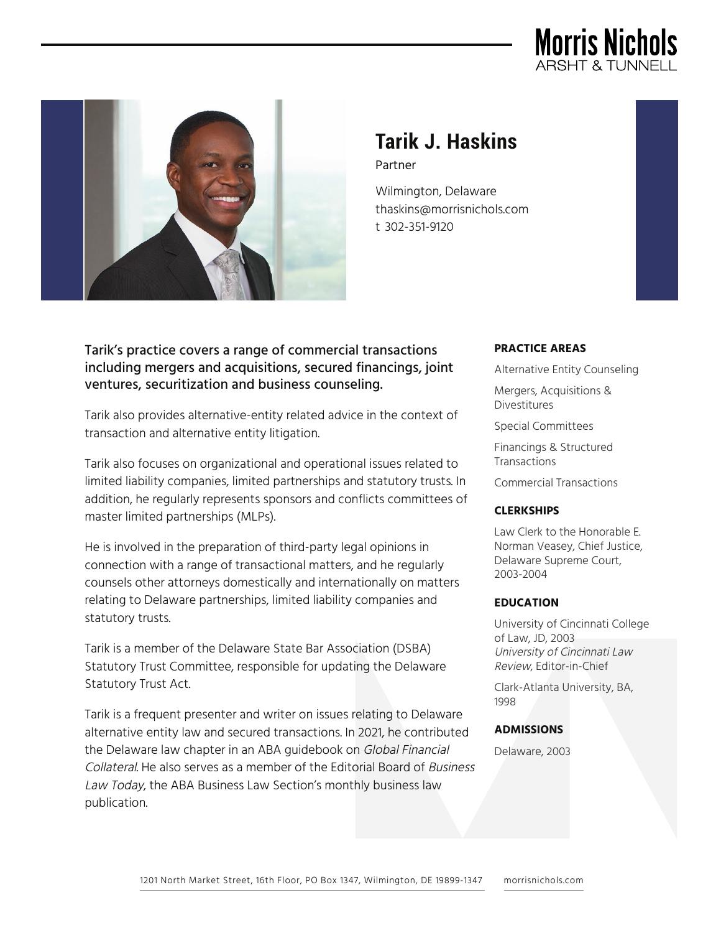



# **Tarik J. Haskins** Partner

Wilmington, Delaware thaskins@morrisnichols.com t 302-351-9120

# Tarik's practice covers a range of commercial transactions including mergers and acquisitions, secured financings, joint ventures, securitization and business counseling.

Tarik also provides alternative-entity related advice in the context of transaction and alternative entity litigation.

Tarik also focuses on organizational and operational issues related to limited liability companies, limited partnerships and statutory trusts. In addition, he regularly represents sponsors and conflicts committees of master limited partnerships (MLPs).

He is involved in the preparation of third-party legal opinions in connection with a range of transactional matters, and he regularly counsels other attorneys domestically and internationally on matters relating to Delaware partnerships, limited liability companies and statutory trusts.

Tarik is a member of the Delaware State Bar Association (DSBA) Statutory Trust Committee, responsible for updating the Delaware Statutory Trust Act.

Tarik is a frequent presenter and writer on issues relating to Delaware alternative entity law and secured transactions. In 2021, he contributed the Delaware law chapter in an ABA guidebook on Global Financial Collateral. He also serves as a member of the Editorial Board of Business Law Today, the ABA Business Law Section's monthly business law publication.

#### **PRACTICE AREAS**

Alternative Entity Counseling

Mergers, Acquisitions & Divestitures

Special Committees

Financings & Structured **Transactions** 

Commercial Transactions

#### **CLERKSHIPS**

Law Clerk to the Honorable E. Norman Veasey, Chief Justice, Delaware Supreme Court, 2003-2004

#### **EDUCATION**

University of Cincinnati College of Law, JD, 2003 University of Cincinnati Law Review, Editor-in-Chief

Clark-Atlanta University, BA, 1998

#### **ADMISSIONS**

Delaware, 2003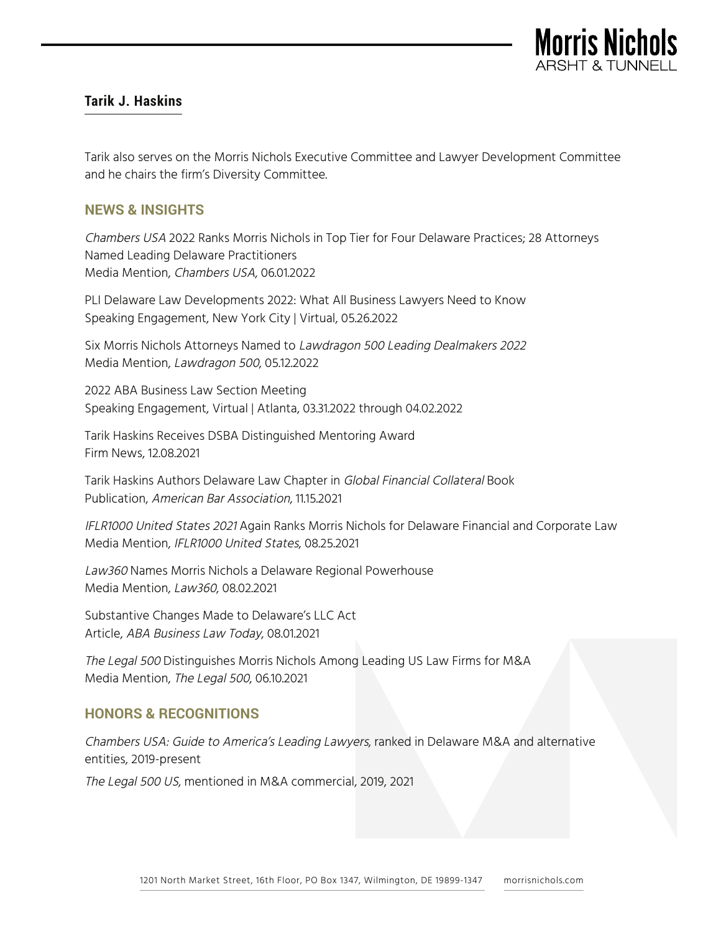

# **Tarik J. Haskins**

Tarik also serves on the Morris Nichols Executive Committee and Lawyer Development Committee and he chairs the firm's Diversity Committee.

## **NEWS & INSIGHTS**

Chambers USA 2022 Ranks Morris Nichols in Top Tier for Four Delaware Practices; 28 Attorneys Named Leading Delaware Practitioners Media Mention, Chambers USA, 06.01.2022

PLI Delaware Law Developments 2022: What All Business Lawyers Need to Know Speaking Engagement, New York City | Virtual, 05.26.2022

Six Morris Nichols Attorneys Named to Lawdragon 500 Leading Dealmakers 2022 Media Mention, Lawdragon 500, 05.12.2022

2022 ABA Business Law Section Meeting Speaking Engagement, Virtual | Atlanta, 03.31.2022 through 04.02.2022

Tarik Haskins Receives DSBA Distinguished Mentoring Award Firm News, 12.08.2021

Tarik Haskins Authors Delaware Law Chapter in Global Financial Collateral Book Publication, American Bar Association, 11.15.2021

IFLR1000 United States 2021 Again Ranks Morris Nichols for Delaware Financial and Corporate Law Media Mention, IFLR1000 United States, 08.25.2021

Law360 Names Morris Nichols a Delaware Regional Powerhouse Media Mention, Law360, 08.02.2021

Substantive Changes Made to Delaware's LLC Act Article, ABA Business Law Today, 08.01.2021

The Legal 500 Distinguishes Morris Nichols Among Leading US Law Firms for M&A Media Mention, The Legal 500, 06.10.2021

# **HONORS & RECOGNITIONS**

Chambers USA: Guide to America's Leading Lawyers, ranked in Delaware M&A and alternative entities, 2019-present

The Legal 500 US, mentioned in M&A commercial, 2019, 2021